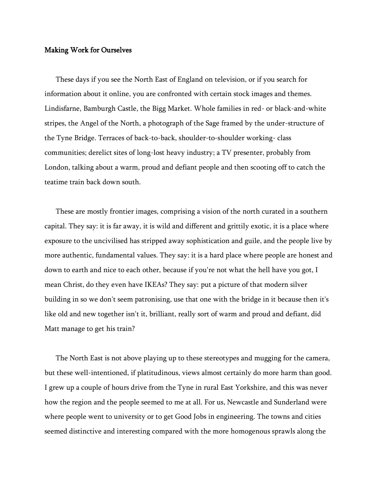## Making Work for Ourselves

These days if you see the North East of England on television, or if you search for information about it online, you are confronted with certain stock images and themes. Lindisfarne, Bamburgh Castle, the Bigg Market. Whole families in red- or black-and-white stripes, the Angel of the North, a photograph of the Sage framed by the under-structure of the Tyne Bridge. Terraces of back-to-back, shoulder-to-shoulder working- class communities; derelict sites of long-lost heavy industry; a TV presenter, probably from London, talking about a warm, proud and defiant people and then scooting off to catch the teatime train back down south.

These are mostly frontier images, comprising a vision of the north curated in a southern capital. They say: it is far away, it is wild and different and grittily exotic, it is a place where exposure to the uncivilised has stripped away sophistication and guile, and the people live by more authentic, fundamental values. They say: it is a hard place where people are honest and down to earth and nice to each other, because if you're not what the hell have you got, I mean Christ, do they even have IKEAs? They say: put a picture of that modern silver building in so we don't seem patronising, use that one with the bridge in it because then it's like old and new together isn't it, brilliant, really sort of warm and proud and defiant, did Matt manage to get his train?

The North East is not above playing up to these stereotypes and mugging for the camera, but these well-intentioned, if platitudinous, views almost certainly do more harm than good. I grew up a couple of hours drive from the Tyne in rural East Yorkshire, and this was never how the region and the people seemed to me at all. For us, Newcastle and Sunderland were where people went to university or to get Good Jobs in engineering. The towns and cities seemed distinctive and interesting compared with the more homogenous sprawls along the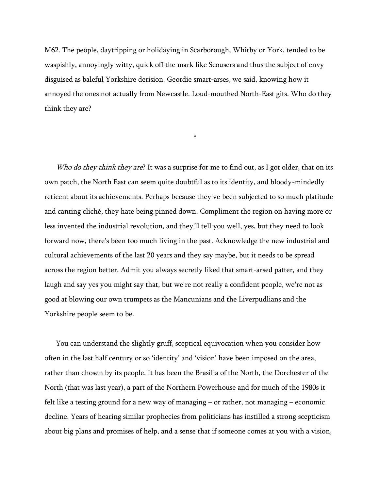M62. The people, daytripping or holidaying in Scarborough, Whitby or York, tended to be waspishly, annoyingly witty, quick off the mark like Scousers and thus the subject of envy disguised as baleful Yorkshire derision. Geordie smart-arses, we said, knowing how it annoyed the ones not actually from Newcastle. Loud-mouthed North-East gits. Who do they think they are?

\*

Who do they think they are? It was a surprise for me to find out, as I got older, that on its own patch, the North East can seem quite doubtful as to its identity, and bloody-mindedly reticent about its achievements. Perhaps because they've been subjected to so much platitude and canting cliché, they hate being pinned down. Compliment the region on having more or less invented the industrial revolution, and they'll tell you well, yes, but they need to look forward now, there's been too much living in the past. Acknowledge the new industrial and cultural achievements of the last 20 years and they say maybe, but it needs to be spread across the region better. Admit you always secretly liked that smart-arsed patter, and they laugh and say yes you might say that, but we're not really a confident people, we're not as good at blowing our own trumpets as the Mancunians and the Liverpudlians and the Yorkshire people seem to be.

You can understand the slightly gruff, sceptical equivocation when you consider how often in the last half century or so 'identity' and 'vision' have been imposed on the area, rather than chosen by its people. It has been the Brasilia of the North, the Dorchester of the North (that was last year), a part of the Northern Powerhouse and for much of the 1980s it felt like a testing ground for a new way of managing – or rather, not managing – economic decline. Years of hearing similar prophecies from politicians has instilled a strong scepticism about big plans and promises of help, and a sense that if someone comes at you with a vision,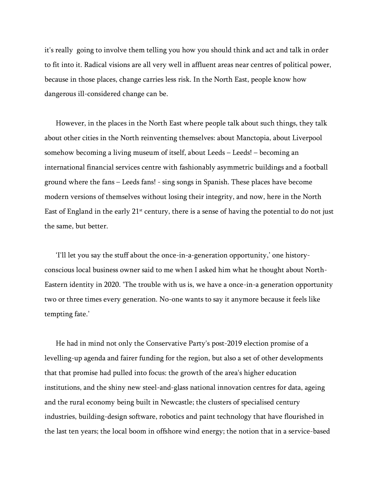it's really going to involve them telling you how you should think and act and talk in order to fit into it. Radical visions are all very well in affluent areas near centres of political power, because in those places, change carries less risk. In the North East, people know how dangerous ill-considered change can be.

However, in the places in the North East where people talk about such things, they talk about other cities in the North reinventing themselves: about Manctopia, about Liverpool somehow becoming a living museum of itself, about Leeds – Leeds! – becoming an international financial services centre with fashionably asymmetric buildings and a football ground where the fans – Leeds fans! - sing songs in Spanish. These places have become modern versions of themselves without losing their integrity, and now, here in the North East of England in the early  $21<sup>st</sup>$  century, there is a sense of having the potential to do not just the same, but better.

'I'll let you say the stuff about the once-in-a-generation opportunity,' one historyconscious local business owner said to me when I asked him what he thought about North-Eastern identity in 2020. 'The trouble with us is, we have a once-in-a generation opportunity two or three times every generation. No-one wants to say it anymore because it feels like tempting fate.'

He had in mind not only the Conservative Party's post-2019 election promise of a levelling-up agenda and fairer funding for the region, but also a set of other developments that that promise had pulled into focus: the growth of the area's higher education institutions, and the shiny new steel-and-glass national innovation centres for data, ageing and the rural economy being built in Newcastle; the clusters of specialised century industries, building-design software, robotics and paint technology that have flourished in the last ten years; the local boom in offshore wind energy; the notion that in a service-based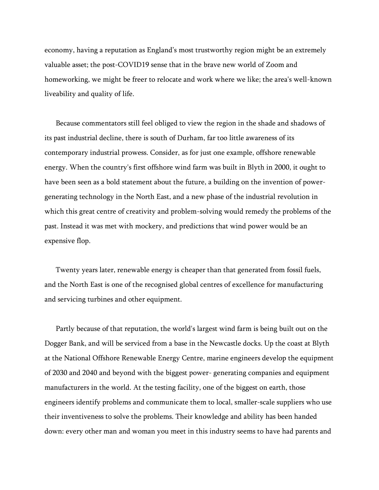economy, having a reputation as England's most trustworthy region might be an extremely valuable asset; the post-COVID19 sense that in the brave new world of Zoom and homeworking, we might be freer to relocate and work where we like; the area's well-known liveability and quality of life.

Because commentators still feel obliged to view the region in the shade and shadows of its past industrial decline, there is south of Durham, far too little awareness of its contemporary industrial prowess. Consider, as for just one example, offshore renewable energy. When the country's first offshore wind farm was built in Blyth in 2000, it ought to have been seen as a bold statement about the future, a building on the invention of powergenerating technology in the North East, and a new phase of the industrial revolution in which this great centre of creativity and problem-solving would remedy the problems of the past. Instead it was met with mockery, and predictions that wind power would be an expensive flop.

Twenty years later, renewable energy is cheaper than that generated from fossil fuels, and the North East is one of the recognised global centres of excellence for manufacturing and servicing turbines and other equipment.

Partly because of that reputation, the world's largest wind farm is being built out on the Dogger Bank, and will be serviced from a base in the Newcastle docks. Up the coast at Blyth at the National Offshore Renewable Energy Centre, marine engineers develop the equipment of 2030 and 2040 and beyond with the biggest power- generating companies and equipment manufacturers in the world. At the testing facility, one of the biggest on earth, those engineers identify problems and communicate them to local, smaller-scale suppliers who use their inventiveness to solve the problems. Their knowledge and ability has been handed down: every other man and woman you meet in this industry seems to have had parents and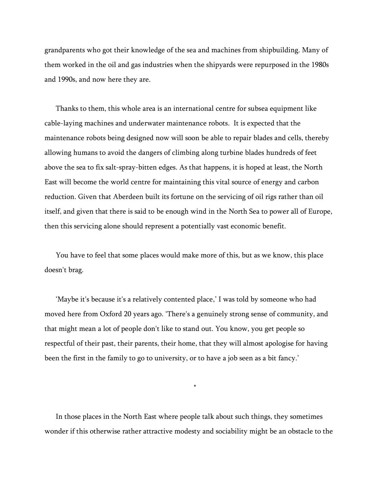grandparents who got their knowledge of the sea and machines from shipbuilding. Many of them worked in the oil and gas industries when the shipyards were repurposed in the 1980s and 1990s, and now here they are.

Thanks to them, this whole area is an international centre for subsea equipment like cable-laying machines and underwater maintenance robots. It is expected that the maintenance robots being designed now will soon be able to repair blades and cells, thereby allowing humans to avoid the dangers of climbing along turbine blades hundreds of feet above the sea to fix salt-spray-bitten edges. As that happens, it is hoped at least, the North East will become the world centre for maintaining this vital source of energy and carbon reduction. Given that Aberdeen built its fortune on the servicing of oil rigs rather than oil itself, and given that there is said to be enough wind in the North Sea to power all of Europe, then this servicing alone should represent a potentially vast economic benefit.

You have to feel that some places would make more of this, but as we know, this place doesn't brag.

'Maybe it's because it's a relatively contented place,' I was told by someone who had moved here from Oxford 20 years ago. 'There's a genuinely strong sense of community, and that might mean a lot of people don't like to stand out. You know, you get people so respectful of their past, their parents, their home, that they will almost apologise for having been the first in the family to go to university, or to have a job seen as a bit fancy.'

\*

In those places in the North East where people talk about such things, they sometimes wonder if this otherwise rather attractive modesty and sociability might be an obstacle to the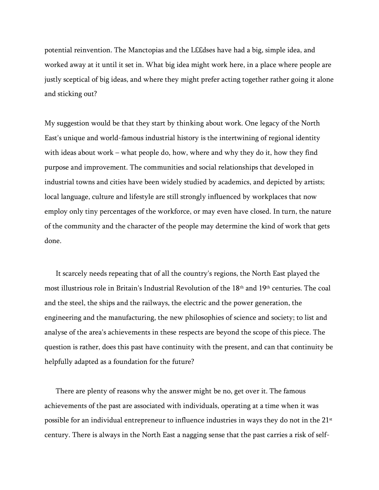potential reinvention. The Manctopias and the L££dses have had a big, simple idea, and worked away at it until it set in. What big idea might work here, in a place where people are justly sceptical of big ideas, and where they might prefer acting together rather going it alone and sticking out?

My suggestion would be that they start by thinking about work. One legacy of the North East's unique and world-famous industrial history is the intertwining of regional identity with ideas about work – what people do, how, where and why they do it, how they find purpose and improvement. The communities and social relationships that developed in industrial towns and cities have been widely studied by academics, and depicted by artists; local language, culture and lifestyle are still strongly influenced by workplaces that now employ only tiny percentages of the workforce, or may even have closed. In turn, the nature of the community and the character of the people may determine the kind of work that gets done.

It scarcely needs repeating that of all the country's regions, the North East played the most illustrious role in Britain's Industrial Revolution of the 18th and 19th centuries. The coal and the steel, the ships and the railways, the electric and the power generation, the engineering and the manufacturing, the new philosophies of science and society; to list and analyse of the area's achievements in these respects are beyond the scope of this piece. The question is rather, does this past have continuity with the present, and can that continuity be helpfully adapted as a foundation for the future?

There are plenty of reasons why the answer might be no, get over it. The famous achievements of the past are associated with individuals, operating at a time when it was possible for an individual entrepreneur to influence industries in ways they do not in the  $21<sup>st</sup>$ century. There is always in the North East a nagging sense that the past carries a risk of self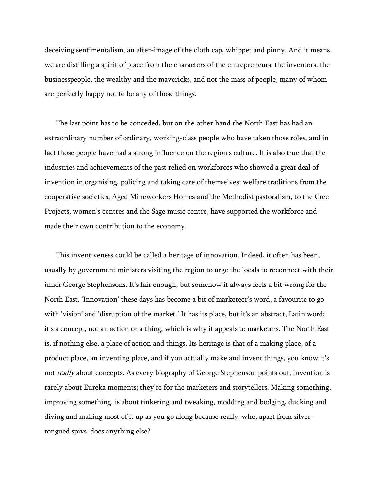deceiving sentimentalism, an after-image of the cloth cap, whippet and pinny. And it means we are distilling a spirit of place from the characters of the entrepreneurs, the inventors, the businesspeople, the wealthy and the mavericks, and not the mass of people, many of whom are perfectly happy not to be any of those things.

The last point has to be conceded, but on the other hand the North East has had an extraordinary number of ordinary, working-class people who have taken those roles, and in fact those people have had a strong influence on the region's culture. It is also true that the industries and achievements of the past relied on workforces who showed a great deal of invention in organising, policing and taking care of themselves: welfare traditions from the cooperative societies, Aged Mineworkers Homes and the Methodist pastoralism, to the Cree Projects, women's centres and the Sage music centre, have supported the workforce and made their own contribution to the economy.

This inventiveness could be called a heritage of innovation. Indeed, it often has been, usually by government ministers visiting the region to urge the locals to reconnect with their inner George Stephensons. It's fair enough, but somehow it always feels a bit wrong for the North East. 'Innovation' these days has become a bit of marketeer's word, a favourite to go with 'vision' and 'disruption of the market.' It has its place, but it's an abstract, Latin word; it's a concept, not an action or a thing, which is why it appeals to marketers. The North East is, if nothing else, a place of action and things. Its heritage is that of a making place, of a product place, an inventing place, and if you actually make and invent things, you know it's not *really* about concepts. As every biography of George Stephenson points out, invention is rarely about Eureka moments; they're for the marketers and storytellers. Making something, improving something, is about tinkering and tweaking, modding and bodging, ducking and diving and making most of it up as you go along because really, who, apart from silvertongued spivs, does anything else?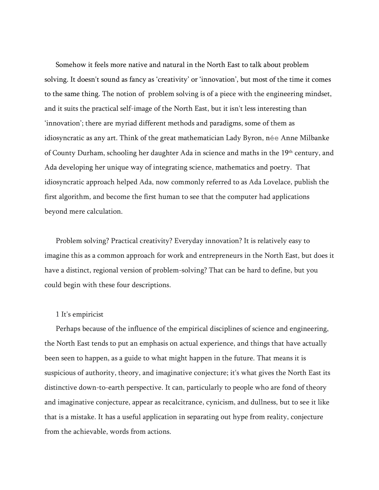Somehow it feels more native and natural in the North East to talk about problem solving. It doesn't sound as fancy as 'creativity' or 'innovation', but most of the time it comes to the same thing. The notion of problem solving is of a piece with the engineering mindset, and it suits the practical self-image of the North East, but it isn't less interesting than 'innovation'; there are myriad different methods and paradigms, some of them as idiosyncratic as any art. Think of the great mathematician Lady Byron, née Anne Milbanke of County Durham, schooling her daughter Ada in science and maths in the 19<sup>th</sup> century, and Ada developing her unique way of integrating science, mathematics and poetry. That idiosyncratic approach helped Ada, now commonly referred to as Ada Lovelace, publish the first algorithm, and become the first human to see that the computer had applications beyond mere calculation.

Problem solving? Practical creativity? Everyday innovation? It is relatively easy to imagine this as a common approach for work and entrepreneurs in the North East, but does it have a distinct, regional version of problem-solving? That can be hard to define, but you could begin with these four descriptions.

#### 1 It's empiricist

Perhaps because of the influence of the empirical disciplines of science and engineering, the North East tends to put an emphasis on actual experience, and things that have actually been seen to happen, as a guide to what might happen in the future. That means it is suspicious of authority, theory, and imaginative conjecture; it's what gives the North East its distinctive down-to-earth perspective. It can, particularly to people who are fond of theory and imaginative conjecture, appear as recalcitrance, cynicism, and dullness, but to see it like that is a mistake. It has a useful application in separating out hype from reality, conjecture from the achievable, words from actions.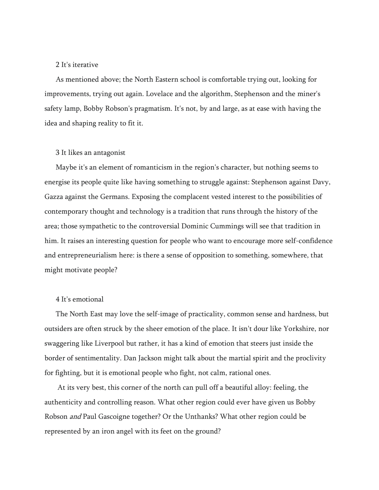# 2 It's iterative

As mentioned above; the North Eastern school is comfortable trying out, looking for improvements, trying out again. Lovelace and the algorithm, Stephenson and the miner's safety lamp, Bobby Robson's pragmatism. It's not, by and large, as at ease with having the idea and shaping reality to fit it.

## 3 It likes an antagonist

Maybe it's an element of romanticism in the region's character, but nothing seems to energise its people quite like having something to struggle against: Stephenson against Davy, Gazza against the Germans. Exposing the complacent vested interest to the possibilities of contemporary thought and technology is a tradition that runs through the history of the area; those sympathetic to the controversial Dominic Cummings will see that tradition in him. It raises an interesting question for people who want to encourage more self-confidence and entrepreneurialism here: is there a sense of opposition to something, somewhere, that might motivate people?

### 4 It's emotional

The North East may love the self-image of practicality, common sense and hardness, but outsiders are often struck by the sheer emotion of the place. It isn't dour like Yorkshire, nor swaggering like Liverpool but rather, it has a kind of emotion that steers just inside the border of sentimentality. Dan Jackson might talk about the martial spirit and the proclivity for fighting, but it is emotional people who fight, not calm, rational ones.

At its very best, this corner of the north can pull off a beautiful alloy: feeling, the authenticity and controlling reason. What other region could ever have given us Bobby Robson and Paul Gascoigne together? Or the Unthanks? What other region could be represented by an iron angel with its feet on the ground?